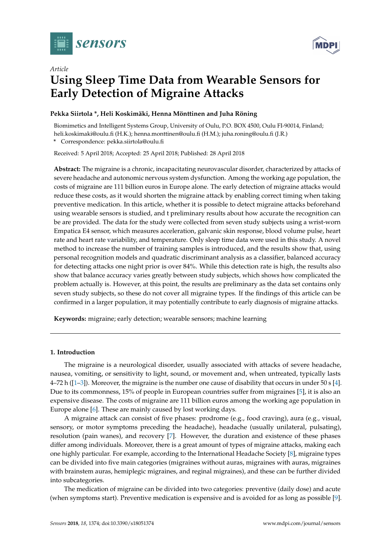

*Article*



# **Using Sleep Time Data from Wearable Sensors for Early Detection of Migraine Attacks**

# **Pekka Siirtola \*, Heli Koskimäki, Henna Mönttinen and Juha Röning**

Biomimetics and Intelligent Systems Group, University of Oulu, P.O. BOX 4500, Oulu FI-90014, Finland; heli.koskimaki@oulu.fi (H.K.); henna.monttinen@oulu.fi (H.M.); juha.roning@oulu.fi (J.R.)

**\*** Correspondence: pekka.siirtola@oulu.fi

Received: 5 April 2018; Accepted: 25 April 2018; Published: 28 April 2018

**Abstract:** The migraine is a chronic, incapacitating neurovascular disorder, characterized by attacks of severe headache and autonomic nervous system dysfunction. Among the working age population, the costs of migraine are 111 billion euros in Europe alone. The early detection of migraine attacks would reduce these costs, as it would shorten the migraine attack by enabling correct timing when taking preventive medication. In this article, whether it is possible to detect migraine attacks beforehand using wearable sensors is studied, and t preliminary results about how accurate the recognition can be are provided. The data for the study were collected from seven study subjects using a wrist-worn Empatica E4 sensor, which measures acceleration, galvanic skin response, blood volume pulse, heart rate and heart rate variability, and temperature. Only sleep time data were used in this study. A novel method to increase the number of training samples is introduced, and the results show that, using personal recognition models and quadratic discriminant analysis as a classifier, balanced accuracy for detecting attacks one night prior is over 84%. While this detection rate is high, the results also show that balance accuracy varies greatly between study subjects, which shows how complicated the problem actually is. However, at this point, the results are preliminary as the data set contains only seven study subjects, so these do not cover all migraine types. If the findings of this article can be confirmed in a larger population, it may potentially contribute to early diagnosis of migraine attacks.

**Keywords:** migraine; early detection; wearable sensors; machine learning

# **1. Introduction**

The migraine is a neurological disorder, usually associated with attacks of severe headache, nausea, vomiting, or sensitivity to light, sound, or movement and, when untreated, typically lasts  $4-72$  h ([\[1–](#page-10-0)[3\]](#page-10-1)). Moreover, the migraine is the number one cause of disability that occurs in under 50 s [\[4\]](#page-10-2). Due to its commonness, 15% of people in European countries suffer from migraines [\[5\]](#page-10-3), it is also an expensive disease. The costs of migraine are 111 billion euros among the working age population in Europe alone [\[6\]](#page-10-4). These are mainly caused by lost working days.

A migraine attack can consist of five phases: prodrome (e.g., food craving), aura (e.g., visual, sensory, or motor symptoms preceding the headache), headache (usually unilateral, pulsating), resolution (pain wanes), and recovery [\[7\]](#page-10-5). However, the duration and existence of these phases differ among individuals. Moreover, there is a great amount of types of migraine attacks, making each one highly particular. For example, according to the International Headache Society [\[8\]](#page-10-6), migraine types can be divided into five main categories (migraines without auras, migraines with auras, migraines with brainstem auras, hemiplegic migraines, and reginal migraines), and these can be further divided into subcategories.

The medication of migraine can be divided into two categories: preventive (daily dose) and acute (when symptoms start). Preventive medication is expensive and is avoided for as long as possible [\[9\]](#page-11-0).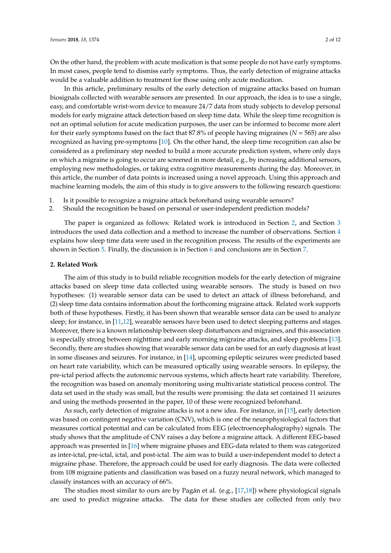On the other hand, the problem with acute medication is that some people do not have early symptoms. In most cases, people tend to dismiss early symptoms. Thus, the early detection of migraine attacks would be a valuable addition to treatment for those using only acute medication.

In this article, preliminary results of the early detection of migraine attacks based on human biosignals collected with wearable sensors are presented. In our approach, the idea is to use a single, easy, and comfortable wrist-worn device to measure 24/7 data from study subjects to develop personal models for early migraine attack detection based on sleep time data. While the sleep time recognition is not an optimal solution for acute medication purposes, the user can be informed to become more alert for their early symptoms based on the fact that 87.8% of people having migraines (*N* = 565) are also recognized as having pre-symptoms [\[10\]](#page-11-1). On the other hand, the sleep time recognition can also be considered as a preliminary step needed to build a more accurate prediction system, where only days on which a migraine is going to occur are screened in more detail, e.g., by increasing additional sensors, employing new methodologies, or taking extra cognitive measurements during the day. Moreover, in this article, the number of data points is increased using a novel approach. Using this approach and machine learning models, the aim of this study is to give answers to the following research questions:

- 1. Is it possible to recognize a migraine attack beforehand using wearable sensors?
- 2. Should the recognition be based on personal or user-independent prediction models?

The paper is organized as follows: Related work is introduced in Section [2,](#page-1-0) and Section [3](#page-2-0) introduces the used data collection and a method to increase the number of observations. Section [4](#page-6-0) explains how sleep time data were used in the recognition process. The results of the experiments are shown in Section [5.](#page-7-0) Finally, the discussion is in Section [6](#page-8-0) and conclusions are in Section [7.](#page-10-7)

#### <span id="page-1-0"></span>**2. Related Work**

The aim of this study is to build reliable recognition models for the early detection of migraine attacks based on sleep time data collected using wearable sensors. The study is based on two hypotheses: (1) wearable sensor data can be used to detect an attack of illness beforehand, and (2) sleep time data contains information about the forthcoming migraine attack. Related work supports both of these hypotheses. Firstly, it has been shown that wearable sensor data can be used to analyze sleep; for instance, in [\[11](#page-11-2)[,12\]](#page-11-3), wearable sensors have been used to detect sleeping patterns and stages. Moreover, there is a known relationship between sleep disturbances and migraines, and this association is especially strong between nighttime and early morning migraine attacks, and sleep problems [\[13\]](#page-11-4). Secondly, there are studies showing that wearable sensor data can be used for an early diagnosis at least in some diseases and seizures. For instance, in [\[14\]](#page-11-5), upcoming epileptic seizures were predicted based on heart rate variability, which can be measured optically using wearable sensors. In epilepsy, the pre-ictal period affects the autonomic nervous systems, which affects heart rate variability. Therefore, the recognition was based on anomaly monitoring using multivariate statistical process control. The data set used in the study was small, but the results were promising: the data set contained 11 seizures and using the methods presented in the paper, 10 of these were recognized beforehand.

As such, early detection of migraine attacks is not a new idea. For instance, in [\[15\]](#page-11-6), early detection was based on contingent negative variation (CNV), which is one of the neurophysiological factors that measures cortical potential and can be calculated from EEG (electroencephalography) signals. The study shows that the amplitude of CNV raises a day before a migraine attack. A different EEG-based approach was presented in [\[16\]](#page-11-7) where migraine phases and EEG-data related to them was categorized as inter-ictal, pre-ictal, ictal, and post-ictal. The aim was to build a user-independent model to detect a migraine phase. Therefore, the approach could be used for early diagnosis. The data were collected from 108 migraine patients and classification was based on a fuzzy neural network, which managed to classify instances with an accuracy of 66%.

The studies most similar to ours are by Pagán et al. (e.g., [\[17,](#page-11-8)[18\]](#page-11-9)) where physiological signals are used to predict migraine attacks. The data for these studies are collected from only two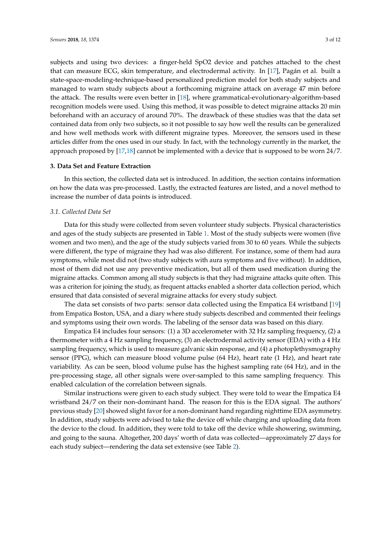subjects and using two devices: a finger-held SpO2 device and patches attached to the chest that can measure ECG, skin temperature, and electrodermal activity. In [\[17\]](#page-11-8), Pagán et al. built a state-space-modeling-technique-based personalized prediction model for both study subjects and managed to warn study subjects about a forthcoming migraine attack on average 47 min before the attack. The results were even better in [\[18\]](#page-11-9), where grammatical-evolutionary-algorithm-based recognition models were used. Using this method, it was possible to detect migraine attacks 20 min beforehand with an accuracy of around 70%. The drawback of these studies was that the data set contained data from only two subjects, so it not possible to say how well the results can be generalized and how well methods work with different migraine types. Moreover, the sensors used in these articles differ from the ones used in our study. In fact, with the technology currently in the market, the approach proposed by [\[17,](#page-11-8)[18\]](#page-11-9) cannot be implemented with a device that is supposed to be worn 24/7.

# <span id="page-2-0"></span>**3. Data Set and Feature Extraction**

In this section, the collected data set is introduced. In addition, the section contains information on how the data was pre-processed. Lastly, the extracted features are listed, and a novel method to increase the number of data points is introduced.

# *3.1. Collected Data Set*

Data for this study were collected from seven volunteer study subjects. Physical characteristics and ages of the study subjects are presented in Table [1.](#page-3-0) Most of the study subjects were women (five women and two men), and the age of the study subjects varied from 30 to 60 years. While the subjects were different, the type of migraine they had was also different. For instance, some of them had aura symptoms, while most did not (two study subjects with aura symptoms and five without). In addition, most of them did not use any preventive medication, but all of them used medication during the migraine attacks. Common among all study subjects is that they had migraine attacks quite often. This was a criterion for joining the study, as frequent attacks enabled a shorter data collection period, which ensured that data consisted of several migraine attacks for every study subject.

The data set consists of two parts: sensor data collected using the Empatica E4 wristband [\[19\]](#page-11-10) from Empatica Boston, USA, and a diary where study subjects described and commented their feelings and symptoms using their own words. The labeling of the sensor data was based on this diary.

Empatica E4 includes four sensors: (1) a 3D accelerometer with 32 Hz sampling frequency, (2) a thermometer with a 4 Hz sampling frequency, (3) an electrodermal activity sensor (EDA) with a 4 Hz sampling frequency, which is used to measure galvanic skin response, and (4) a photoplethysmography sensor (PPG), which can measure blood volume pulse (64 Hz), heart rate (1 Hz), and heart rate variability. As can be seen, blood volume pulse has the highest sampling rate (64 Hz), and in the pre-processing stage, all other signals were over-sampled to this same sampling frequency. This enabled calculation of the correlation between signals.

Similar instructions were given to each study subject. They were told to wear the Empatica E4 wristband 24/7 on their non-dominant hand. The reason for this is the EDA signal. The authors' previous study [\[20\]](#page-11-11) showed slight favor for a non-dominant hand regarding nighttime EDA asymmetry. In addition, study subjects were advised to take the device off while charging and uploading data from the device to the cloud. In addition, they were told to take off the device while showering, swimming, and going to the sauna. Altogether, 200 days' worth of data was collected—approximately 27 days for each study subject—rendering the data set extensive (see Table [2\)](#page-3-1).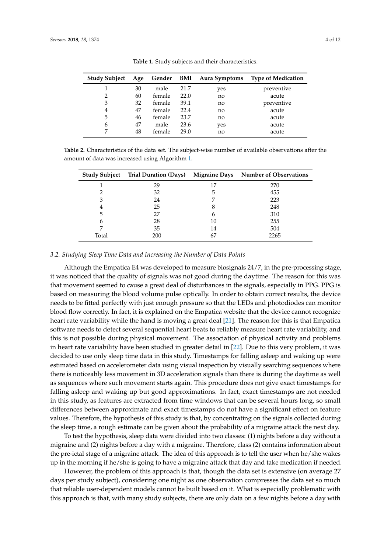<span id="page-3-0"></span>

| <b>Study Subject</b> |    |        |      |     | Age Gender BMI Aura Symptoms Type of Medication |
|----------------------|----|--------|------|-----|-------------------------------------------------|
|                      | 30 | male   | 21.7 | yes | preventive                                      |
| 2                    | 60 | female | 22.0 | no  | acute                                           |
| 3                    | 32 | female | 39.1 | no  | preventive                                      |
| 4                    | 47 | female | 22.4 | no  | acute                                           |
| 5                    | 46 | female | 23.7 | no  | acute                                           |
| 6                    | 47 | male   | 23.6 | yes | acute                                           |
|                      | 48 | female | 29.0 | no  | acute                                           |
|                      |    |        |      |     |                                                 |

**Table 1.** Study subjects and their characteristics.

<span id="page-3-1"></span>**Table 2.** Characteristics of the data set. The subject-wise number of available observations after the amount of data was increased using Algorithm [1.](#page-5-0)

|       | <b>Study Subject</b> Trial Duration (Days) |    | <b>Migraine Days</b> Number of Observations |
|-------|--------------------------------------------|----|---------------------------------------------|
|       | 29                                         | 17 | 270                                         |
|       | 32                                         | 5  | 455                                         |
| 3     | 24                                         |    | 223                                         |
| 4     | 25                                         | 8  | 248                                         |
| 5     | 27                                         | 6  | 310                                         |
| 6     | 28                                         | 10 | 255                                         |
|       | 35                                         | 14 | 504                                         |
| Total | 200                                        | 67 | 2265                                        |

#### *3.2. Studying Sleep Time Data and Increasing the Number of Data Points*

Although the Empatica E4 was developed to measure biosignals 24/7, in the pre-processing stage, it was noticed that the quality of signals was not good during the daytime. The reason for this was that movement seemed to cause a great deal of disturbances in the signals, especially in PPG. PPG is based on measuring the blood volume pulse optically. In order to obtain correct results, the device needs to be fitted perfectly with just enough pressure so that the LEDs and photodiodes can monitor blood flow correctly. In fact, it is explained on the Empatica website that the device cannot recognize heart rate variability while the hand is moving a great deal [\[21\]](#page-11-12). The reason for this is that Empatica software needs to detect several sequential heart beats to reliably measure heart rate variability, and this is not possible during physical movement. The association of physical activity and problems in heart rate variability have been studied in greater detail in [\[22\]](#page-11-13). Due to this very problem, it was decided to use only sleep time data in this study. Timestamps for falling asleep and waking up were estimated based on accelerometer data using visual inspection by visually searching sequences where there is noticeably less movement in 3D acceleration signals than there is during the daytime as well as sequences where such movement starts again. This procedure does not give exact timestamps for falling asleep and waking up but good approximations. In fact, exact timestamps are not needed in this study, as features are extracted from time windows that can be several hours long, so small differences between approximate and exact timestamps do not have a significant effect on feature values. Therefore, the hypothesis of this study is that, by concentrating on the signals collected during the sleep time, a rough estimate can be given about the probability of a migraine attack the next day.

To test the hypothesis, sleep data were divided into two classes: (1) nights before a day without a migraine and (2) nights before a day with a migraine. Therefore, class (2) contains information about the pre-ictal stage of a migraine attack. The idea of this approach is to tell the user when he/she wakes up in the morning if he/she is going to have a migraine attack that day and take medication if needed.

However, the problem of this approach is that, though the data set is extensive (on average 27 days per study subject), considering one night as one observation compresses the data set so much that reliable user-dependent models cannot be built based on it. What is especially problematic with this approach is that, with many study subjects, there are only data on a few nights before a day with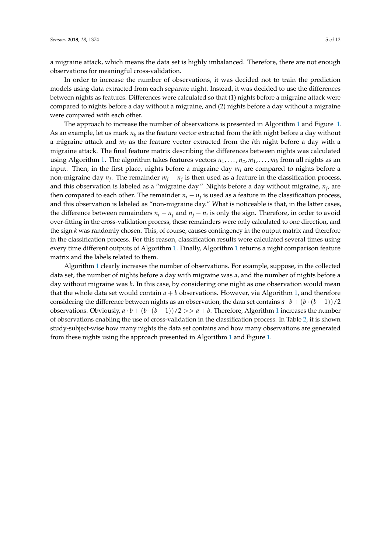a migraine attack, which means the data set is highly imbalanced. Therefore, there are not enough observations for meaningful cross-validation.

In order to increase the number of observations, it was decided not to train the prediction models using data extracted from each separate night. Instead, it was decided to use the differences between nights as features. Differences were calculated so that (1) nights before a migraine attack were compared to nights before a day without a migraine, and (2) nights before a day without a migraine were compared with each other.

The approach to increase the number of observations is presented in Algorithm [1](#page-5-0) and Figure [1.](#page-5-1) As an example, let us mark *n<sup>k</sup>* as the feature vector extracted from the *k*th night before a day without a migraine attack and *m<sup>l</sup>* as the feature vector extracted from the *l*th night before a day with a migraine attack. The final feature matrix describing the differences between nights was calculated using Algorithm [1.](#page-5-0) The algorithm takes features vectors  $n_1, \ldots, n_a, m_1, \ldots, m_b$  from all nights as an input. Then, in the first place, nights before a migraine day *m<sup>i</sup>* are compared to nights before a non-migraine day  $n_j$ . The remainder  $m_i - n_j$  is then used as a feature in the classification process, and this observation is labeled as a "migraine day." Nights before a day without migraine, *n<sup>j</sup>* , are then compared to each other. The remainder  $n_i - n_j$  is used as a feature in the classification process, and this observation is labeled as "non-migraine day." What is noticeable is that, in the latter cases, the difference between remainders  $n_i - n_j$  and  $n_j - n_i$  is only the sign. Therefore, in order to avoid over-fitting in the cross-validation process, these remainders were only calculated to one direction, and the sign *k* was randomly chosen. This, of course, causes contingency in the output matrix and therefore in the classification process. For this reason, classification results were calculated several times using every time different outputs of Algorithm [1.](#page-5-0) Finally, Algorithm [1](#page-5-0) returns a night comparison feature matrix and the labels related to them.

Algorithm [1](#page-5-0) clearly increases the number of observations. For example, suppose, in the collected data set, the number of nights before a day with migraine was *a*, and the number of nights before a day without migraine was *b*. In this case, by considering one night as one observation would mean that the whole data set would contain  $a + b$  observations. However, via Algorithm [1,](#page-5-0) and therefore considering the difference between nights as an observation, the data set contains  $a \cdot b + (b \cdot (b-1))/2$ observations. Obviously,  $a \cdot b + (b \cdot (b-1))/2 >> a + b$  $a \cdot b + (b \cdot (b-1))/2 >> a + b$  $a \cdot b + (b \cdot (b-1))/2 >> a + b$ . Therefore, Algorithm 1 increases the number of observations enabling the use of cross-validation in the classification process. In Table [2,](#page-3-1) it is shown study-subject-wise how many nights the data set contains and how many observations are generated from these nights using the approach presented in Algorithm [1](#page-5-0) and Figure [1.](#page-5-1)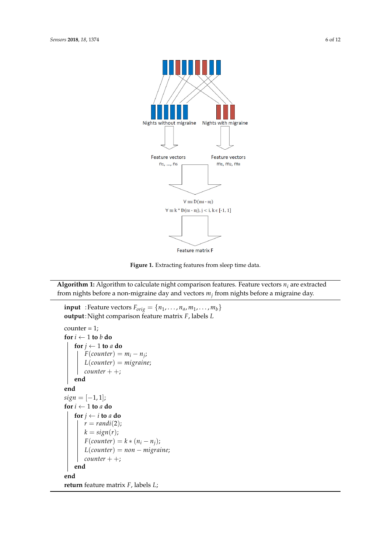<span id="page-5-1"></span>

**Figure 1.** Extracting features from sleep time data.

**Algorithm 1:** Algorithm to calculate night comparison features. Feature vectors *n<sup>i</sup>* are extracted from nights before a non-migraine day and vectors *m<sup>j</sup>* from nights before a migraine day.

```
input : Feature vectors F_{orig} = \{n_1, \ldots, n_a, m_1, \ldots, m_b\}output:Night comparison feature matrix F, labels L
counter = 1;for i \leftarrow 1 to b do
   for j \leftarrow 1 to a do
        F(counter) = m_i - n_j;L(counter) = migraine;
     \vert counter + +;
   end
end
sign = [-1, 1];for i \leftarrow 1 to a do
   for j \leftarrow i to a do
       r = randi(2);k = sign(r);F(counter) = k * (n_i - n_j);L(counter) = non-migraine;counter++;end
end
return feature matrix F, labels L;
```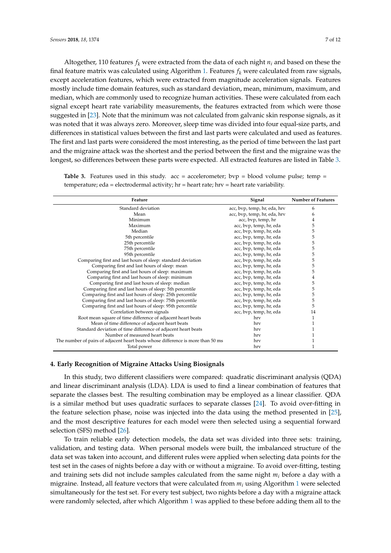Altogether, 110 features  $f_k$  were extracted from the data of each night  $n_i$  and based on these the final feature matrix was calculated using Algorithm [1.](#page-5-0) Features *f<sup>k</sup>* were calculated from raw signals, except acceleration features, which were extracted from magnitude acceleration signals. Features mostly include time domain features, such as standard deviation, mean, minimum, maximum, and median, which are commonly used to recognize human activities. These were calculated from each signal except heart rate variability measurements, the features extracted from which were those suggested in [\[23\]](#page-11-14). Note that the minimum was not calculated from galvanic skin response signals, as it was noted that it was always zero. Moreover, sleep time was divided into four equal-size parts, and differences in statistical values between the first and last parts were calculated and used as features. The first and last parts were considered the most interesting, as the period of time between the last part and the migraine attack was the shortest and the period between the first and the migraine was the longest, so differences between these parts were expected. All extracted features are listed in Table [3.](#page-6-1)

<span id="page-6-1"></span>**Table 3.** Features used in this study.  $acc = acceleration$  accelerometer; bvp = blood volume pulse; temp = temperature; eda = electrodermal activity; hr = heart rate; hrv = heart rate variability.

| Feature                                                                         | Signal                       | <b>Number of Features</b> |
|---------------------------------------------------------------------------------|------------------------------|---------------------------|
| Standard deviation                                                              | acc, bvp, temp, hr, eda, hrv | 6                         |
| Mean                                                                            | acc, bvp, temp, hr, eda, hrv | 6                         |
| Minimum                                                                         | acc, bvp, temp, hr           |                           |
| Maximum                                                                         | acc, bvp, temp, hr, eda      | 5                         |
| Median                                                                          | acc, bvp, temp, hr, eda      | 5                         |
| 5th percentile                                                                  | acc, bvp, temp, hr, eda      | 5                         |
| 25th percentile                                                                 | acc, bvp, temp, hr, eda      | 5                         |
| 75th percentile                                                                 | acc, bvp, temp, hr, eda      | 5                         |
| 95th percentile                                                                 | acc, bvp, temp, hr, eda      | 5                         |
| Comparing first and last hours of sleep: standard deviation                     | acc, bvp, temp, hr, eda      | 5                         |
| Comparing first and last hours of sleep: mean                                   | acc, bvp, temp, hr, eda      | 5                         |
| Comparing first and last hours of sleep: maximum                                | acc, bvp, temp, hr, eda      | 5                         |
| Comparing first and last hours of sleep: minimum                                | acc, bvp, temp, hr, eda      | 4                         |
| Comparing first and last hours of sleep: median                                 | acc, bvp, temp, hr, eda      | 5                         |
| Comparing first and last hours of sleep: 5th percentile                         | acc, bvp, temp, hr, eda      | 5                         |
| Comparing first and last hours of sleep: 25th percentile                        | acc, bvp, temp, hr, eda      | 5                         |
| Comparing first and last hours of sleep: 75th percentile                        | acc, bvp, temp, hr, eda      | 5                         |
| Comparing first and last hours of sleep: 95th percentile                        | acc, bvp, temp, hr, eda      | 5                         |
| Correlation between signals                                                     | acc, bvp, temp, hr, eda      | 14                        |
| Root mean square of time difference of adjacent heart beats                     | hrv                          |                           |
| Mean of time difference of adjacent heart beats                                 | hrv                          |                           |
| Standard deviation of time difference of adjacent heart beats                   | hrv                          |                           |
| Number of measured heart beats                                                  | hrv                          |                           |
| The number of pairs of adjacent heart beats whose difference is more than 50 ms | hrv                          |                           |
| Total power                                                                     | hrv                          | 1                         |

#### <span id="page-6-0"></span>**4. Early Recognition of Migraine Attacks Using Biosignals**

In this study, two different classifiers were compared: quadratic discriminant analysis (QDA) and linear discriminant analysis (LDA). LDA is used to find a linear combination of features that separate the classes best. The resulting combination may be employed as a linear classifier. QDA is a similar method but uses quadratic surfaces to separate classes [\[24\]](#page-11-15). To avoid over-fitting in the feature selection phase, noise was injected into the data using the method presented in [\[25\]](#page-11-16), and the most descriptive features for each model were then selected using a sequential forward selection (SFS) method [\[26\]](#page-11-17).

To train reliable early detection models, the data set was divided into three sets: training, validation, and testing data. When personal models were built, the imbalanced structure of the data set was taken into account, and different rules were applied when selecting data points for the test set in the cases of nights before a day with or without a migraine. To avoid over-fitting, testing and training sets did not include samples calculated from the same night *m<sup>i</sup>* before a day with a migraine. Instead, all feature vectors that were calculated from *m<sup>i</sup>* using Algorithm [1](#page-5-0) were selected simultaneously for the test set. For every test subject, two nights before a day with a migraine attack were randomly selected, after which Algorithm [1](#page-5-0) was applied to these before adding them all to the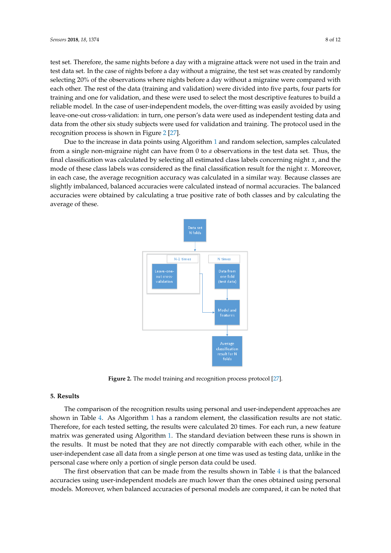test set. Therefore, the same nights before a day with a migraine attack were not used in the train and test data set. In the case of nights before a day without a migraine, the test set was created by randomly selecting 20% of the observations where nights before a day without a migraine were compared with each other. The rest of the data (training and validation) were divided into five parts, four parts for training and one for validation, and these were used to select the most descriptive features to build a reliable model. In the case of user-independent models, the over-fitting was easily avoided by using leave-one-out cross-validation: in turn, one person's data were used as independent testing data and data from the other six study subjects were used for validation and training. The protocol used in the recognition process is shown in Figure [2](#page-7-1) [\[27\]](#page-11-18).

<span id="page-7-1"></span>Due to the increase in data points using Algorithm [1](#page-5-0) and random selection, samples calculated from a single non-migraine night can have from 0 to *a* observations in the test data set. Thus, the final classification was calculated by selecting all estimated class labels concerning night *x*, and the mode of these class labels was considered as the final classification result for the night *x*. Moreover, in each case, the average recognition accuracy was calculated in a similar way. Because classes are slightly imbalanced, balanced accuracies were calculated instead of normal accuracies. The balanced accuracies were obtained by calculating a true positive rate of both classes and by calculating the average of these.



**Figure 2.** The model training and recognition process protocol [\[27\]](#page-11-18).

## <span id="page-7-0"></span>**5. Results**

The comparison of the recognition results using personal and user-independent approaches are shown in Table [4.](#page-8-1) As Algorithm [1](#page-5-0) has a random element, the classification results are not static. Therefore, for each tested setting, the results were calculated 20 times. For each run, a new feature matrix was generated using Algorithm [1.](#page-5-0) The standard deviation between these runs is shown in the results. It must be noted that they are not directly comparable with each other, while in the user-independent case all data from a single person at one time was used as testing data, unlike in the personal case where only a portion of single person data could be used.

The first observation that can be made from the results shown in Table [4](#page-8-1) is that the balanced accuracies using user-independent models are much lower than the ones obtained using personal models. Moreover, when balanced accuracies of personal models are compared, it can be noted that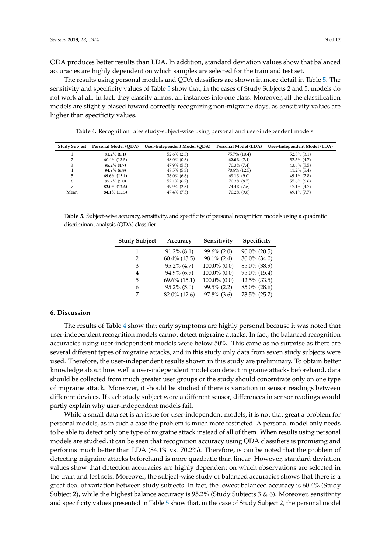QDA produces better results than LDA. In addition, standard deviation values show that balanced accuracies are highly dependent on which samples are selected for the train and test set.

The results using personal models and QDA classifiers are shown in more detail in Table [5.](#page-8-2) The sensitivity and specificity values of Table [5](#page-8-2) show that, in the cases of Study Subjects 2 and 5, models do not work at all. In fact, they classify almost all instances into one class. Moreover, all the classification models are slightly biased toward correctly recognizing non-migraine days, as sensitivity values are higher than specificity values.

**Table 4.** Recognition rates study-subject-wise using personal and user-independent models.

<span id="page-8-1"></span>

| <b>Study Subject</b> | Personal Model (ODA) | User-Independent Model (ODA) | Personal Model (LDA) | User-Independent Model (LDA) |
|----------------------|----------------------|------------------------------|----------------------|------------------------------|
|                      | $91.2\%$ (8.1)       | $52.6\%$ (2.3)               | 75.7% (10.4)         | $52.8\%$ (3.1)               |
| ∠                    | $60.4\%$ (13.5)      | $48.0\%$ (0.6)               | $62.0\%$ (7.4)       | $52.5\%$ (4.7)               |
| 3                    | $95.2\%$ (4.7)       | $47.9\%$ (5.5)               | $70.3\%$ (7.4)       | $43.6\%$ (5.5)               |
| 4                    | $94.9\%$ (6.9)       | $48.5\%$ (5.3)               | 70.8% (12.5)         | $41.2\%$ (5.4)               |
| 5                    | $69.6\%$ (15.1)      | $36.0\%$ (6.6)               | $69.1\%$ (9.0)       | $49.1\%$ (2.8)               |
| 6                    | $95.2\%$ (5.0)       | $52.1\%$ (6.2)               | $70.3\%$ (8.7)       | $55.6\%$ (6.6)               |
| ⇁                    | 82.0% (12.6)         | $49.9\%$ (2.6)               | 74.4% (7.6)          | $47.1\%$ $(4.7)$             |
| Mean                 | 84.1% (15.3)         | $47.4\%$ (7.5)               | 70.2% (9.8)          | 49.1% (7.7)                  |

<span id="page-8-2"></span>**Table 5.** Subject-wise accuracy, sensitivity, and specificity of personal recognition models using a quadratic discriminant analysis (QDA) classifier.

| <b>Study Subject</b> | Accuracy        | Sensitivity       | Specificity     |
|----------------------|-----------------|-------------------|-----------------|
| 1                    | $91.2\%$ (8.1)  | $99.6\%$ (2.0)    | $90.0\%$ (20.5) |
| 2                    | $60.4\%$ (13.5) | 98.1% (2.4)       | 30.0% (34.0)    |
| 3                    | $95.2\%$ (4.7)  | $100.0\%$ (0.0)   | 85.0% (38.9)    |
| 4                    | 94.9% (6.9)     | $100.0\%$ $(0.0)$ | 95.0% (15.4)    |
| 5                    | $69.6\%$ (15.1) | $100.0\%$ $(0.0)$ | $42.5\%$ (33.5) |
| 6                    | $95.2\%$ (5.0)  | 99.5% (2.2)       | 85.0% (28.6)    |
| 7                    | 82.0% (12.6)    | 97.8% (3.6)       | 73.5% (25.7)    |

## <span id="page-8-0"></span>**6. Discussion**

The results of Table [4](#page-8-1) show that early symptoms are highly personal because it was noted that user-independent recognition models cannot detect migraine attacks. In fact, the balanced recognition accuracies using user-independent models were below 50%. This came as no surprise as there are several different types of migraine attacks, and in this study only data from seven study subjects were used. Therefore, the user-independent results shown in this study are preliminary. To obtain better knowledge about how well a user-independent model can detect migraine attacks beforehand, data should be collected from much greater user groups or the study should concentrate only on one type of migraine attack. Moreover, it should be studied if there is variation in sensor readings between different devices. If each study subject wore a different sensor, differences in sensor readings would partly explain why user-independent models fail.

While a small data set is an issue for user-independent models, it is not that great a problem for personal models, as in such a case the problem is much more restricted. A personal model only needs to be able to detect only one type of migraine attack instead of all of them. When results using personal models are studied, it can be seen that recognition accuracy using QDA classifiers is promising and performs much better than LDA (84.1% vs. 70.2%). Therefore, is can be noted that the problem of detecting migraine attacks beforehand is more quadratic than linear. However, standard deviation values show that detection accuracies are highly dependent on which observations are selected in the train and test sets. Moreover, the subject-wise study of balanced accuracies shows that there is a great deal of variation between study subjects. In fact, the lowest balanced accuracy is 60.4% (Study Subject 2), while the highest balance accuracy is 95.2% (Study Subjects 3 & 6). Moreover, sensitivity and specificity values presented in Table [5](#page-8-2) show that, in the case of Study Subject 2, the personal model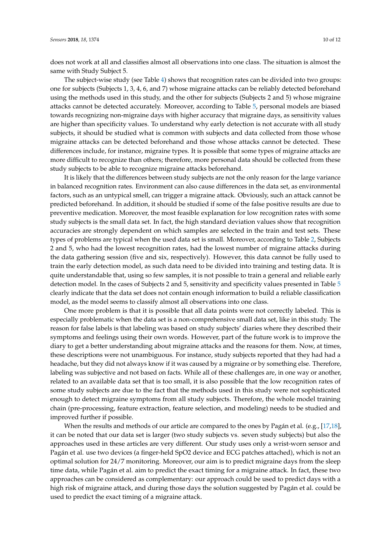does not work at all and classifies almost all observations into one class. The situation is almost the same with Study Subject 5.

The subject-wise study (see Table [4\)](#page-8-1) shows that recognition rates can be divided into two groups: one for subjects (Subjects 1, 3, 4, 6, and 7) whose migraine attacks can be reliably detected beforehand using the methods used in this study, and the other for subjects (Subjects 2 and 5) whose migraine attacks cannot be detected accurately. Moreover, according to Table [5,](#page-8-2) personal models are biased towards recognizing non-migraine days with higher accuracy that migraine days, as sensitivity values are higher than specificity values. To understand why early detection is not accurate with all study subjects, it should be studied what is common with subjects and data collected from those whose migraine attacks can be detected beforehand and those whose attacks cannot be detected. These differences include, for instance, migraine types. It is possible that some types of migraine attacks are more difficult to recognize than others; therefore, more personal data should be collected from these study subjects to be able to recognize migraine attacks beforehand.

It is likely that the differences between study subjects are not the only reason for the large variance in balanced recognition rates. Environment can also cause differences in the data set, as environmental factors, such as an untypical smell, can trigger a migraine attack. Obviously, such an attack cannot be predicted beforehand. In addition, it should be studied if some of the false positive results are due to preventive medication. Moreover, the most feasible explanation for low recognition rates with some study subjects is the small data set. In fact, the high standard deviation values show that recognition accuracies are strongly dependent on which samples are selected in the train and test sets. These types of problems are typical when the used data set is small. Moreover, according to Table [2,](#page-3-1) Subjects 2 and 5, who had the lowest recognition rates, had the lowest number of migraine attacks during the data gathering session (five and six, respectively). However, this data cannot be fully used to train the early detection model, as such data need to be divided into training and testing data. It is quite understandable that, using so few samples, it is not possible to train a general and reliable early detection model. In the cases of Subjects 2 and 5, sensitivity and specificity values presented in Table [5](#page-8-2) clearly indicate that the data set does not contain enough information to build a reliable classification model, as the model seems to classify almost all observations into one class.

One more problem is that it is possible that all data points were not correctly labeled. This is especially problematic when the data set is a non-comprehensive small data set, like in this study. The reason for false labels is that labeling was based on study subjects' diaries where they described their symptoms and feelings using their own words. However, part of the future work is to improve the diary to get a better understanding about migraine attacks and the reasons for them. Now, at times, these descriptions were not unambiguous. For instance, study subjects reported that they had had a headache, but they did not always know if it was caused by a migraine or by something else. Therefore, labeling was subjective and not based on facts. While all of these challenges are, in one way or another, related to an available data set that is too small, it is also possible that the low recognition rates of some study subjects are due to the fact that the methods used in this study were not sophisticated enough to detect migraine symptoms from all study subjects. Therefore, the whole model training chain (pre-processing, feature extraction, feature selection, and modeling) needs to be studied and improved further if possible.

When the results and methods of our article are compared to the ones by Pagán et al. (e.g., [\[17](#page-11-8)[,18\]](#page-11-9), it can be noted that our data set is larger (two study subjects vs. seven study subjects) but also the approaches used in these articles are very different. Our study uses only a wrist-worn sensor and Pagán et al. use two devices (a finger-held SpO2 device and ECG patches attached), which is not an optimal solution for 24/7 monitoring. Moreover, our aim is to predict migraine days from the sleep time data, while Pagán et al. aim to predict the exact timing for a migraine attack. In fact, these two approaches can be considered as complementary: our approach could be used to predict days with a high risk of migraine attack, and during those days the solution suggested by Pagán et al. could be used to predict the exact timing of a migraine attack.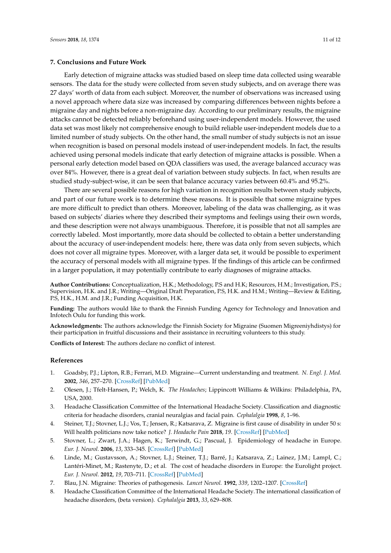## <span id="page-10-7"></span>**7. Conclusions and Future Work**

Early detection of migraine attacks was studied based on sleep time data collected using wearable sensors. The data for the study were collected from seven study subjects, and on average there was 27 days' worth of data from each subject. Moreover, the number of observations was increased using a novel approach where data size was increased by comparing differences between nights before a migraine day and nights before a non-migraine day. According to our preliminary results, the migraine attacks cannot be detected reliably beforehand using user-independent models. However, the used data set was most likely not comprehensive enough to build reliable user-independent models due to a limited number of study subjects. On the other hand, the small number of study subjects is not an issue when recognition is based on personal models instead of user-independent models. In fact, the results achieved using personal models indicate that early detection of migraine attacks is possible. When a personal early detection model based on QDA classifiers was used, the average balanced accuracy was over 84%. However, there is a great deal of variation between study subjects. In fact, when results are studied study-subject-wise, it can be seen that balance accuracy varies between 60.4% and 95.2%.

There are several possible reasons for high variation in recognition results between study subjects, and part of our future work is to determine these reasons. It is possible that some migraine types are more difficult to predict than others. Moreover, labeling of the data was challenging, as it was based on subjects' diaries where they described their symptoms and feelings using their own words, and these description were not always unambiguous. Therefore, it is possible that not all samples are correctly labeled. Most importantly, more data should be collected to obtain a better understanding about the accuracy of user-independent models: here, there was data only from seven subjects, which does not cover all migraine types. Moreover, with a larger data set, it would be possible to experiment the accuracy of personal models with all migraine types. If the findings of this article can be confirmed in a larger population, it may potentially contribute to early diagnoses of migraine attacks.

**Author Contributions:** Conceptualization, H.K.; Methodology, P.S and H.K; Resources, H.M.; Investigation, P.S.; Supervision, H.K. and J.R.; Writing—Original Draft Preparation, P.S, H.K. and H.M.; Writing—Review & Editing, P.S, H.K., H.M. and J.R.; Funding Acquisition, H.K.

**Funding:** The authors would like to thank the Finnish Funding Agency for Technology and Innovation and Infotech Oulu for funding this work.

**Acknowledgments:** The authors acknowledge the Finnish Society for Migraine (Suomen Migreeniyhdistys) for their participation in fruitful discussions and their assistance in recruiting volunteers to this study.

**Conflicts of Interest:** The authors declare no conflict of interest.

## **References**

- <span id="page-10-0"></span>1. Goadsby, P.J.; Lipton, R.B.; Ferrari, M.D. Migraine—Current understanding and treatment. *N. Engl. J. Med.* **2002**, *346*, 257–270. [\[CrossRef\]](http://dx.doi.org/10.1056/NEJMra010917) [\[PubMed\]](http://www.ncbi.nlm.nih.gov/pubmed/11807151)
- 2. Olesen, J.; Tfelt-Hansen, P.; Welch, K. *The Headaches*; Lippincott Williams & Wilkins: Philadelphia, PA, USA, 2000.
- <span id="page-10-1"></span>3. Headache Classification Committee of the International Headache Society. Classification and diagnostic criteria for headache disorders, cranial neuralgias and facial pain. *Cephalalgia* **1998**, *8*, 1–96.
- <span id="page-10-2"></span>4. Steiner, T.J.; Stovner, L.J.; Vos, T.; Jensen, R.; Katsarava, Z. Migraine is first cause of disability in under 50 s: Will health politicians now take notice? *J. Headache Pain* **2018**, *19*. [\[CrossRef\]](http://dx.doi.org/10.1186/s10194-018-0846-2) [\[PubMed\]](http://www.ncbi.nlm.nih.gov/pubmed/29468450)
- <span id="page-10-3"></span>5. Stovner, L.; Zwart, J.A.; Hagen, K.; Terwindt, G.; Pascual, J. Epidemiology of headache in Europe. *Eur. J. Neurol.* **2006**, *13*, 333–345. [\[CrossRef\]](http://dx.doi.org/10.1111/j.1468-1331.2006.01184.x) [\[PubMed\]](http://www.ncbi.nlm.nih.gov/pubmed/16643310)
- <span id="page-10-4"></span>6. Linde, M.; Gustavsson, A.; Stovner, L.J.; Steiner, T.J.; Barré, J.; Katsarava, Z.; Lainez, J.M.; Lampl, C.; Lantéri-Minet, M.; Rastenyte, D.; et al. The cost of headache disorders in Europe: the Eurolight project. *Eur. J. Neurol.* **2012**, *19*, 703–711. [\[CrossRef\]](http://dx.doi.org/10.1111/j.1468-1331.2011.03612.x) [\[PubMed\]](http://www.ncbi.nlm.nih.gov/pubmed/22136117)
- <span id="page-10-5"></span>7. Blau, J.N. Migraine: Theories of pathogenesis. *Lancet Neurol.* **1992**, *339*, 1202–1207. [\[CrossRef\]](http://dx.doi.org/10.1016/0140-6736(92)91140-4)
- <span id="page-10-6"></span>8. Headache Classification Committee of the International Headache Society.The international classification of headache disorders, (beta version). *Cephalalgia* **2013**, *33*, 629–808.